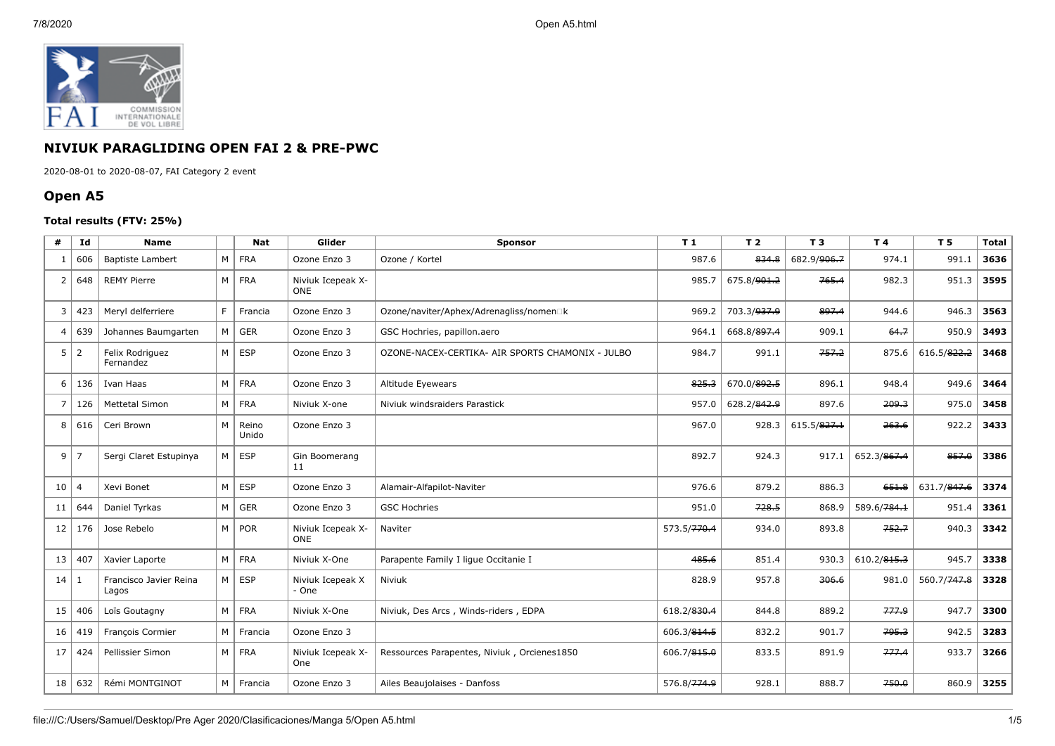

## **NIVIUK PARAGLIDING OPEN FAI 2 & PRE-PWC**

2020-08-01 to 2020-08-07, FAI Category 2 event

## **Open A5**

## **Total results (FTV: 25%)**

| #              | Id             | <b>Name</b>                     |    | <b>Nat</b>     | Glider                          | <b>Sponsor</b>                                   | T1          | T <sub>2</sub>          | T <sub>3</sub> | T 4         | T <sub>5</sub> | <b>Total</b> |
|----------------|----------------|---------------------------------|----|----------------|---------------------------------|--------------------------------------------------|-------------|-------------------------|----------------|-------------|----------------|--------------|
|                | 606            | <b>Baptiste Lambert</b>         | М  | FRA            | Ozone Enzo 3                    | Ozone / Kortel                                   | 987.6       | 834.8                   | 682.9/906.7    | 974.1       | 991.1          | 3636         |
| $\overline{2}$ | 648            | <b>REMY Pierre</b>              | M  | FRA            | Niviuk Icepeak X-<br><b>ONE</b> |                                                  | 985.7       | 675.8/ <del>901.2</del> | 765.4          | 982.3       | 951.3          | 3595         |
| 3              | 423            | Meryl delferriere               | F. | Francia        | Ozone Enzo 3                    | Ozone/naviter/Aphex/Adrenagliss/nomen□k          | 969.2       | 703.3/ <del>937.9</del> | 897.4          | 944.6       | 946.3          | 3563         |
| $\overline{4}$ | 639            | Johannes Baumgarten             | M  | <b>GER</b>     | Ozone Enzo 3                    | GSC Hochries, papillon.aero                      | 964.1       | 668.8/897.4             | 909.1          | 64.7        | 950.9          | 3493         |
| 5              | $\overline{2}$ | Felix Rodriguez<br>Fernandez    | M  | <b>ESP</b>     | Ozone Enzo 3                    | OZONE-NACEX-CERTIKA- AIR SPORTS CHAMONIX - JULBO | 984.7       | 991.1                   | 757.2          | 875.6       | 616.5/822.2    | 3468         |
| 6              | 136            | Ivan Haas                       | M  | FRA            | Ozone Enzo 3                    | Altitude Eyewears                                | 825.3       | 670.0/892.5             | 896.1          | 948.4       | 949.6          | 3464         |
| $\overline{7}$ | 126            | <b>Mettetal Simon</b>           |    | M FRA          | Niviuk X-one                    | Niviuk windsraiders Parastick                    | 957.0       | 628.2/842.9             | 897.6          | 209.3       | 975.0          | 3458         |
| 8              | 616            | Ceri Brown                      | M  | Reino<br>Unido | Ozone Enzo 3                    |                                                  | 967.0       | 928.3                   | 615.5/827.1    | 263.6       | 922.2          | 3433         |
| 9              | $\overline{7}$ | Sergi Claret Estupinya          | M  | <b>ESP</b>     | Gin Boomerang<br>11             |                                                  | 892.7       | 924.3                   | 917.1          | 652.3/867.4 | 857.0          | 3386         |
| 10             | $\overline{4}$ | Xevi Bonet                      | M  | <b>ESP</b>     | Ozone Enzo 3                    | Alamair-Alfapilot-Naviter                        | 976.6       | 879.2                   | 886.3          | 651.8       | 631.7/847.6    | 3374         |
| 11             | 644            | Daniel Tyrkas                   | M  | GER            | Ozone Enzo 3                    | <b>GSC Hochries</b>                              | 951.0       | 728.5                   | 868.9          | 589.6/784.1 | 951.4          | 3361         |
| 12             | 176            | Jose Rebelo                     | M  | POR            | Niviuk Icepeak X-<br><b>ONE</b> | Naviter                                          | 573.5/770.4 | 934.0                   | 893.8          | 752.7       | 940.3          | 3342         |
| 13             | 407            | Xavier Laporte                  | M  | FRA            | Niviuk X-One                    | Parapente Family I lique Occitanie I             | 485.6       | 851.4                   | 930.3          | 610.2/815.3 | 945.7          | 3338         |
| 14             | -1             | Francisco Javier Reina<br>Lagos | M  | <b>ESP</b>     | Niviuk Icepeak X<br>- One       | Niviuk                                           | 828.9       | 957.8                   | 306.6          | 981.0       | 560.7/747.8    | 3328         |
| 15             | 406            | Loïs Goutagny                   | M  | FRA            | Niviuk X-One                    | Niviuk, Des Arcs, Winds-riders, EDPA             | 618.2/830.4 | 844.8                   | 889.2          | 777.9       | 947.7          | 3300         |
| 16             | 419            | François Cormier                | M  | Francia        | Ozone Enzo 3                    |                                                  | 606.3/814.5 | 832.2                   | 901.7          | 795.3       | 942.5          | 3283         |
| 17             | 424            | Pellissier Simon                |    | M FRA          | Niviuk Icepeak X-<br><b>One</b> | Ressources Parapentes, Niviuk, Orcienes1850      | 606.7/815.0 | 833.5                   | 891.9          | 777.4       | 933.7          | 3266         |
| 18             | 632            | Rémi MONTGINOT                  | M  | Francia        | Ozone Enzo 3                    | Ailes Beaujolaises - Danfoss                     | 576.8/774.9 | 928.1                   | 888.7          | 750.0       | 860.9          | 3255         |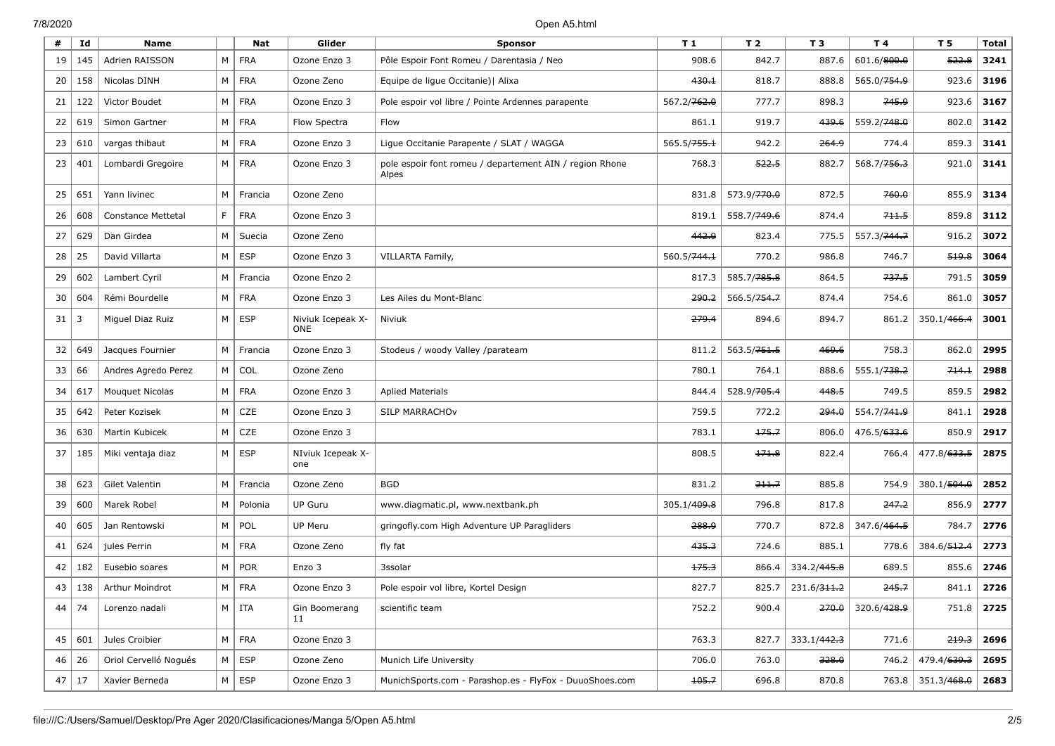| #  | Id  | <b>Name</b>               |          | <b>Nat</b> | Glider                          | <b>Sponsor</b>                                                   | T <sub>1</sub>          | T <sub>2</sub>          | T 3                     | T 4                     | T <sub>5</sub>                | <b>Total</b> |
|----|-----|---------------------------|----------|------------|---------------------------------|------------------------------------------------------------------|-------------------------|-------------------------|-------------------------|-------------------------|-------------------------------|--------------|
| 19 | 145 | Adrien RAISSON            | M        | <b>FRA</b> | Ozone Enzo 3                    | Pôle Espoir Font Romeu / Darentasia / Neo                        | 908.6                   | 842.7                   | 887.6                   | 601.6/800.0             | 522.8                         | 3241         |
| 20 | 158 | Nicolas DINH              | М        | <b>FRA</b> | Ozone Zeno                      | Equipe de ligue Occitanie)   Alixa                               | 430.1                   | 818.7                   | 888.8                   | 565.0/754.9             | 923.6                         | 3196         |
| 21 | 122 | Victor Boudet             | М        | <b>FRA</b> | Ozone Enzo 3                    | Pole espoir vol libre / Pointe Ardennes parapente                | 567.2/762.0             | 777.7                   | 898.3                   | 745.9                   | 923.6                         | 3167         |
| 22 | 619 | Simon Gartner             | M        | <b>FRA</b> | Flow Spectra                    | Flow                                                             | 861.1                   | 919.7                   | 439.6                   | 559.2/748.0             | 802.0                         | 3142         |
| 23 | 610 | vargas thibaut            | M        | <b>FRA</b> | Ozone Enzo 3                    | Ligue Occitanie Parapente / SLAT / WAGGA                         | 565.5/ <del>755.1</del> | 942.2                   | 264.9                   | 774.4                   | 859.3                         | 3141         |
| 23 | 401 | Lombardi Gregoire         | M        | <b>FRA</b> | Ozone Enzo 3                    | pole espoir font romeu / departement AIN / region Rhone<br>Alpes | 768.3                   | 522.5                   | 882.7                   | 568.7/ <del>756.3</del> | 921.0                         | 3141         |
| 25 | 651 | Yann livinec              | M        | Francia    | Ozone Zeno                      |                                                                  | 831.8                   | 573.9/ <del>770.0</del> | 872.5                   | 760.0                   | 855.9                         | 3134         |
| 26 | 608 | <b>Constance Mettetal</b> | F.       | <b>FRA</b> | Ozone Enzo 3                    |                                                                  | 819.1                   | 558.7/ <del>749.6</del> | 874.4                   | 711.5                   | 859.8                         | 3112         |
| 27 | 629 | Dan Girdea                | M        | Suecia     | Ozone Zeno                      |                                                                  | 442.9                   | 823.4                   | 775.5                   | 557.3/ <del>744.7</del> | 916.2                         | 3072         |
| 28 | 25  | David Villarta            | M        | <b>ESP</b> | Ozone Enzo 3                    | VILLARTA Family,                                                 | 560.5/744.1             | 770.2                   | 986.8                   | 746.7                   | 519.8                         | 3064         |
| 29 | 602 | Lambert Cyril             | M        | Francia    | Ozone Enzo 2                    |                                                                  | 817.3                   | 585.7/ <del>785.8</del> | 864.5                   | 737.5                   | 791.5                         | 3059         |
| 30 | 604 | Rémi Bourdelle            | M        | <b>FRA</b> | Ozone Enzo 3                    | Les Ailes du Mont-Blanc                                          | 290.2                   | 566.5/ <del>754.7</del> | 874.4                   | 754.6                   | 861.0                         | 3057         |
| 31 | 3   | Miguel Diaz Ruiz          | M        | <b>ESP</b> | Niviuk Icepeak X-<br><b>ONE</b> | Niviuk                                                           | 279.4                   | 894.6                   | 894.7                   | 861.2                   | 350.1/ <del>466.4</del>       | 3001         |
| 32 | 649 | Jacques Fournier          | M        | Francia    | Ozone Enzo 3                    | Stodeus / woody Valley /parateam                                 | 811.2                   | 563.5/ <del>751.5</del> | 469.6                   | 758.3                   | 862.0                         | 2995         |
| 33 | 66  | Andres Agredo Perez       | M        | COL        | Ozone Zeno                      |                                                                  | 780.1                   | 764.1                   | 888.6                   | 555.1/ <del>738.2</del> | 714.1                         | 2988         |
| 34 | 617 | Mouquet Nicolas           | M        | <b>FRA</b> | Ozone Enzo 3                    | <b>Aplied Materials</b>                                          | 844.4                   | 528.9/705.4             | 448.5                   | 749.5                   | 859.5                         | 2982         |
| 35 | 642 | Peter Kozisek             | M        | CZE        | Ozone Enzo 3                    | <b>SILP MARRACHOV</b>                                            | 759.5                   | 772.2                   | 294.0                   | 554.7/ <del>741.9</del> | 841.1                         | 2928         |
| 36 | 630 | Martin Kubicek            | M        | CZE        | Ozone Enzo 3                    |                                                                  | 783.1                   | 175.7                   | 806.0                   | 476.5/633.6             | 850.9                         | 2917         |
| 37 | 185 | Miki ventaja diaz         | M        | ESP        | NIviuk Icepeak X-<br>one        |                                                                  | 808.5                   | 171.8                   | 822.4                   | 766.4                   | 477.8/633.5                   | 2875         |
| 38 | 623 | Gilet Valentin            | M        | Francia    | Ozone Zeno                      | <b>BGD</b>                                                       | 831.2                   | 211.7                   | 885.8                   | 754.9                   | 380.1/504.0                   | 2852         |
| 39 | 600 | Marek Robel               | M        | Polonia    | <b>UP Guru</b>                  | www.diagmatic.pl, www.nextbank.ph                                | 305.1/409.8             | 796.8                   | 817.8                   | 247.2                   | 856.9                         | 2777         |
| 40 | 605 | Jan Rentowski             | M        | POL        | UP Meru                         | gringofly.com High Adventure UP Paragliders                      | 288.9                   | 770.7                   | 872.8                   | 347.6/ <del>464.5</del> | 784.7                         | 2776         |
| 41 | 624 | jules Perrin              | M        | <b>FRA</b> | Ozone Zeno                      | fly fat                                                          | 435.3                   | 724.6                   | 885.1                   | 778.6                   | 384.6/512.4                   | 2773         |
| 42 | 182 | Eusebio soares            | M        | <b>POR</b> | Enzo 3                          | 3ssolar                                                          | 175.3                   | 866.4                   | 334.2/445.8             | 689.5                   | 855.6                         | 2746         |
| 43 | 138 | <b>Arthur Moindrot</b>    | М        | <b>FRA</b> | Ozone Enzo 3                    | Pole espoir vol libre, Kortel Design                             | 827.7                   | 825.7                   | 231.6/ <del>311.2</del> | 245.7                   | 841.1                         | 2726         |
| 44 | 74  | Lorenzo nadali            |          | $M$ ITA    | Gin Boomerang<br>11             | scientific team                                                  | 752.2                   | 900.4                   | 270.0                   | 320.6/428.9             | 751.8                         | 2725         |
| 45 | 601 | Jules Croibier            |          | $M$ FRA    | Ozone Enzo 3                    |                                                                  | 763.3                   | 827.7                   | 333.1/ <del>442.3</del> | 771.6                   | 219.3                         | 2696         |
| 46 | 26  | Oriol Cervelló Nogués     | M        | <b>ESP</b> | Ozone Zeno                      | Munich Life University                                           | 706.0                   | 763.0                   | 328.0                   | 746.2                   | 479.4/ <del>639.3</del>       | 2695         |
| 47 | 17  | Xavier Berneda            | $M \mid$ | ESP        | Ozone Enzo 3                    | MunichSports.com - Parashop.es - FlyFox - DuuoShoes.com          | 105.7                   | 696.8                   | 870.8                   |                         | 763.8 351.3/ <del>468.0</del> | 2683         |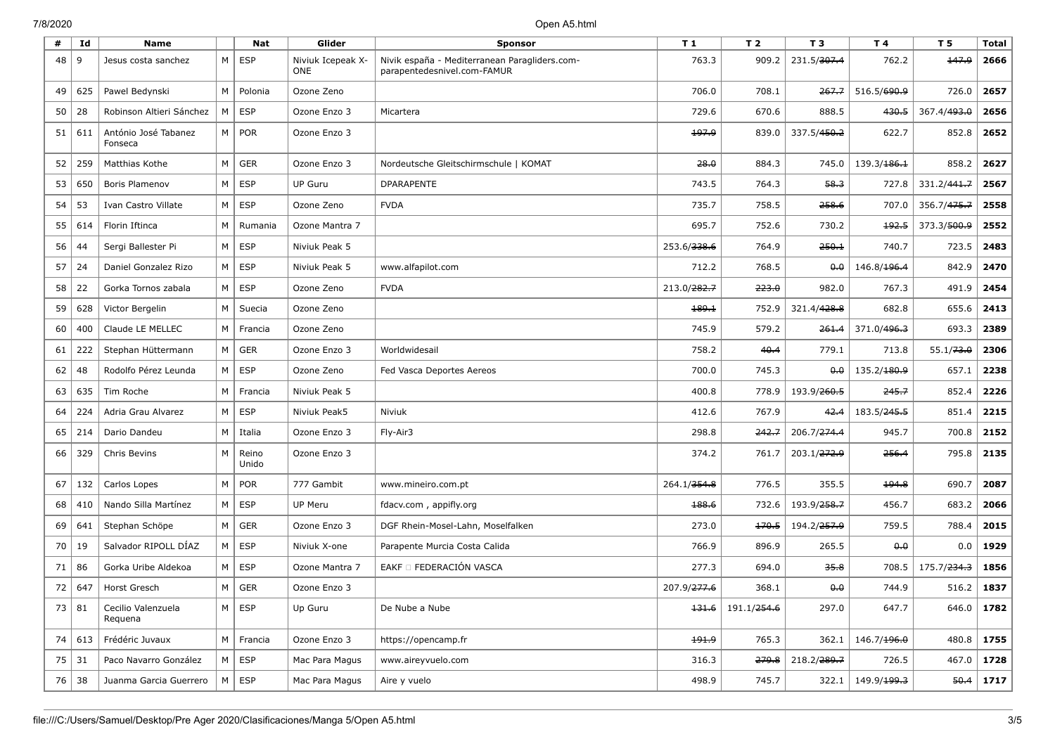| #  | Id  | <b>Name</b>                     |   | <b>Nat</b>        | Glider                          | <b>Sponsor</b>                                                               | T <sub>1</sub>          | T <sub>2</sub> | T <sub>3</sub>          | T4                      | T <sub>5</sub>          | <b>Total</b> |
|----|-----|---------------------------------|---|-------------------|---------------------------------|------------------------------------------------------------------------------|-------------------------|----------------|-------------------------|-------------------------|-------------------------|--------------|
| 48 | 9   | Jesus costa sanchez             | M | ESP               | Niviuk Icepeak X-<br><b>ONE</b> | Nivik españa - Mediterranean Paragliders.com-<br>parapentedesnivel.com-FAMUR | 763.3                   | 909.2          | 231.5/307.4             | 762.2                   | 147.9                   | 2666         |
| 49 | 625 | Pawel Bedynski                  | M | Polonia           | Ozone Zeno                      |                                                                              | 706.0                   | 708.1          | 267.7                   | 516.5/690.9             | 726.0                   | 2657         |
| 50 | 28  | Robinson Altieri Sánchez        | M | <b>ESP</b>        | Ozone Enzo 3                    | Micartera                                                                    | 729.6                   | 670.6          | 888.5                   | 430.5                   | 367.4/493.0             | 2656         |
| 51 | 611 | António José Tabanez<br>Fonseca |   | $M \mid POR$      | Ozone Enzo 3                    |                                                                              | و.197.9                 | 839.0          | 337.5/ <del>450.2</del> | 622.7                   | 852.8                   | 2652         |
| 52 | 259 | Matthias Kothe                  | M | <b>GER</b>        | Ozone Enzo 3                    | Nordeutsche Gleitschirmschule   KOMAT                                        | 28.0                    | 884.3          | 745.0                   | 139.3/186.1             | 858.2                   | 2627         |
| 53 | 650 | Boris Plamenov                  | M | $\vert$ ESP       | <b>UP Guru</b>                  | <b>DPARAPENTE</b>                                                            | 743.5                   | 764.3          | 58.3                    | 727.8                   | 331.2/441.7             | 2567         |
| 54 | 53  | Ivan Castro Villate             | M | ESP               | Ozone Zeno                      | <b>FVDA</b>                                                                  | 735.7                   | 758.5          | 258.6                   | 707.0                   | 356.7/475.7             | 2558         |
| 55 | 614 | Florin Iftinca                  | M | Rumania           | Ozone Mantra 7                  |                                                                              | 695.7                   | 752.6          | 730.2                   | 192.5                   | 373.3/500.9             | 2552         |
| 56 | 44  | Sergi Ballester Pi              | M | <b>ESP</b>        | Niviuk Peak 5                   |                                                                              | 253.6/ <del>338.6</del> | 764.9          | 250.1                   | 740.7                   | 723.5                   | 2483         |
| 57 | 24  | Daniel Gonzalez Rizo            | M | $\vert$ ESP       | Niviuk Peak 5                   | www.alfapilot.com                                                            | 712.2                   | 768.5          | $\theta$ . $\theta$     | 146.8/ <del>196.4</del> | 842.9                   | 2470         |
| 58 | 22  | Gorka Tornos zabala             | M | <b>ESP</b>        | Ozone Zeno                      | <b>FVDA</b>                                                                  | 213.0/ <del>282.7</del> | 223.0          | 982.0                   | 767.3                   | 491.9                   | 2454         |
| 59 | 628 | Victor Bergelin                 | M | Suecia            | Ozone Zeno                      |                                                                              | 189.1                   | 752.9          | 321.4/ <del>428.8</del> | 682.8                   | 655.6                   | 2413         |
| 60 | 400 | Claude LE MELLEC                | M | Francia           | Ozone Zeno                      |                                                                              | 745.9                   | 579.2          | 261.4                   | 371.0/ <del>496.3</del> | 693.3                   | 2389         |
| 61 | 222 | Stephan Hüttermann              | M | <b>GER</b>        | Ozone Enzo 3                    | Worldwidesail                                                                | 758.2                   | 40.4           | 779.1                   | 713.8                   | 55.1/73.0               | 2306         |
| 62 | 48  | Rodolfo Pérez Leunda            | M | ESP               | Ozone Zeno                      | Fed Vasca Deportes Aereos                                                    | 700.0                   | 745.3          | 0.0                     | 135.2/180.9             | 657.1                   | 2238         |
| 63 | 635 | Tim Roche                       | M | Francia           | Niviuk Peak 5                   |                                                                              | 400.8                   | 778.9          | 193.9/260.5             | 245.7                   | 852.4                   | 2226         |
| 64 | 224 | Adria Grau Alvarez              | M | ESP               | Niviuk Peak5                    | Niviuk                                                                       | 412.6                   | 767.9          | 42.4                    | 183.5/ <del>245.5</del> | 851.4                   | 2215         |
| 65 | 214 | Dario Dandeu                    | M | Italia            | Ozone Enzo 3                    | Fly-Air3                                                                     | 298.8                   | 242.7          | 206.7/274.4             | 945.7                   | 700.8                   | 2152         |
| 66 | 329 | Chris Bevins                    | M | Reino<br>Unido    | Ozone Enzo 3                    |                                                                              | 374.2                   | 761.7          | 203.1/272.9             | 256.4                   | 795.8                   | 2135         |
| 67 | 132 | Carlos Lopes                    | M | POR               | 777 Gambit                      | www.mineiro.com.pt                                                           | 264.1/354.8             | 776.5          | 355.5                   | 194.8                   | 690.7                   | 2087         |
| 68 | 410 | Nando Silla Martínez            | M | <b>ESP</b>        | <b>UP Meru</b>                  | fdacv.com, appifly.org                                                       | 188.6                   | 732.6          | 193.9/258.7             | 456.7                   | 683.2                   | 2066         |
| 69 | 641 | Stephan Schöpe                  | M | GER               | Ozone Enzo 3                    | DGF Rhein-Mosel-Lahn, Moselfalken                                            | 273.0                   | 170.5          | 194.2/ <del>257.9</del> | 759.5                   | 788.4                   | 2015         |
| 70 | 19  | Salvador RIPOLL DÍAZ            | M | <b>ESP</b>        | Niviuk X-one                    | Parapente Murcia Costa Calida                                                | 766.9                   | 896.9          | 265.5                   | 0.0                     | 0.0                     | 1929         |
| 71 | 86  | Gorka Uribe Aldekoa             | M | $ $ ESP           | Ozone Mantra 7                  | EAKF O FEDERACIÓN VASCA                                                      | 277.3                   | 694.0          | 35.8                    | 708.5                   | 175.7/ <del>234.3</del> | 1856         |
| 72 | 647 | Horst Gresch                    | M | <b>GER</b>        | Ozone Enzo 3                    |                                                                              | 207.9/277.6             | 368.1          | 0.0                     | 744.9                   | 516.2                   | 1837         |
| 73 | 81  | Cecilio Valenzuela<br>Requena   |   | $M \vert$ ESP     | Up Guru                         | De Nube a Nube                                                               | 131.6                   | 191.1/254.6    | 297.0                   | 647.7                   | 646.0                   | 1782         |
| 74 | 613 | Frédéric Juvaux                 |   | $M \vert$ Francia | Ozone Enzo 3                    | https://opencamp.fr                                                          | 494.9                   | 765.3          | 362.1                   | 146.7/ <del>196.0</del> | 480.8                   | 1755         |
| 75 | 31  | Paco Navarro González           |   | $M \vert$ ESP     | Mac Para Magus                  | www.aireyvuelo.com                                                           | 316.3                   | 279.8          | 218.2/ <del>289.7</del> | 726.5                   | 467.0                   | 1728         |
| 76 | 38  | Juanma Garcia Guerrero          | M | ESP               | Mac Para Magus                  | Aire y vuelo                                                                 | 498.9                   | 745.7          | 322.1                   | 149.9/ <del>199.3</del> | 50.4                    | 1717         |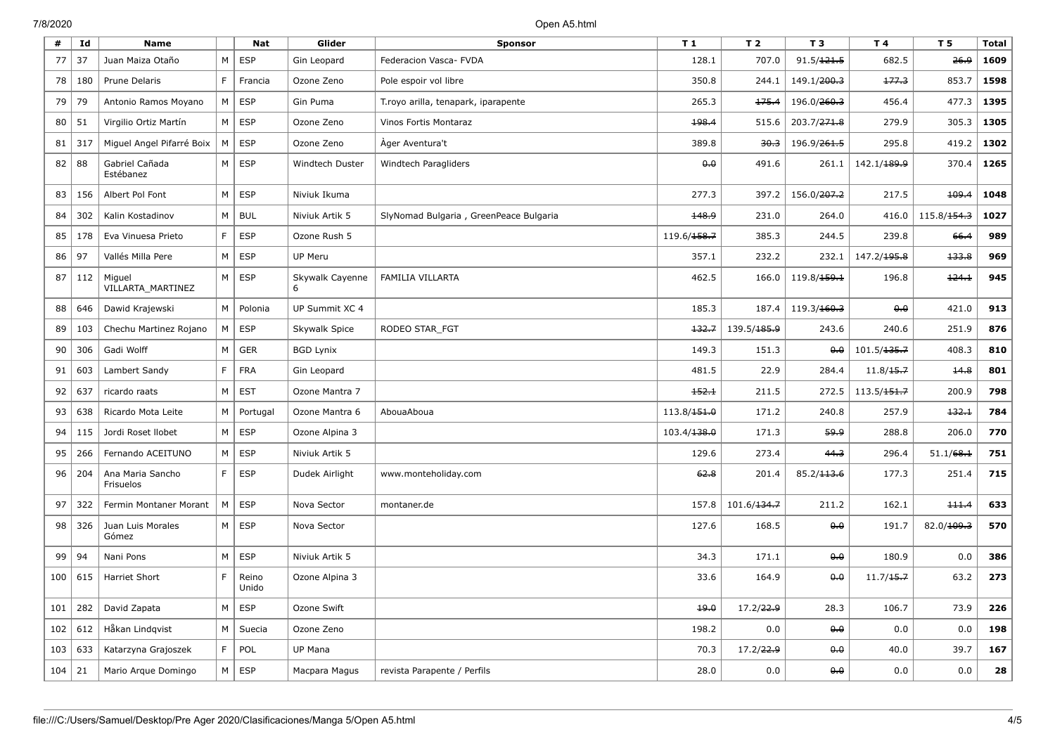| #   | Id  | <b>Name</b>                   |    | Nat            | Glider           | <b>Sponsor</b>                         | T <sub>1</sub>          | T <sub>2</sub>          | T <sub>3</sub>          | T 4                     | T 5                     | <b>Total</b> |
|-----|-----|-------------------------------|----|----------------|------------------|----------------------------------------|-------------------------|-------------------------|-------------------------|-------------------------|-------------------------|--------------|
| 77  | 37  | Juan Maiza Otaño              | M  | <b>ESP</b>     | Gin Leopard      | Federacion Vasca- FVDA                 | 128.1                   | 707.0                   | 91.5/121.5              | 682.5                   | 26.9                    | 1609         |
| 78  | 180 | Prune Delaris                 | F  | Francia        | Ozone Zeno       | Pole espoir vol libre                  | 350.8                   | 244.1                   | 149.1/200.3             | 177.3                   | 853.7                   | 1598         |
| 79  | 79  | Antonio Ramos Moyano          | M  | <b>ESP</b>     | Gin Puma         | T.royo arilla, tenapark, iparapente    | 265.3                   | 175.4                   | 196.0/260.3             | 456.4                   | 477.3                   | 1395         |
| 80  | 51  | Virgilio Ortiz Martín         | M  | <b>ESP</b>     | Ozone Zeno       | Vinos Fortis Montaraz                  | 198.4                   | 515.6                   | 203.7/ <del>271.8</del> | 279.9                   | 305.3                   | 1305         |
| 81  | 317 | Miguel Angel Pifarré Boix     | M  | <b>ESP</b>     | Ozone Zeno       | Ager Aventura't                        | 389.8                   | 30.3                    | 196.9/ <del>261.5</del> | 295.8                   | 419.2                   | 1302         |
| 82  | 88  | Gabriel Cañada<br>Estébanez   | M  | <b>ESP</b>     | Windtech Duster  | Windtech Paragliders                   | 0.0                     | 491.6                   | 261.1                   | 142.1/ <del>189.9</del> | 370.4                   | 1265         |
| 83  | 156 | Albert Pol Font               | M  | <b>ESP</b>     | Niviuk Ikuma     |                                        | 277.3                   | 397.2                   | 156.0/ <del>207.2</del> | 217.5                   | 109.4                   | 1048         |
| 84  | 302 | Kalin Kostadinov              | M  | <b>BUL</b>     | Niviuk Artik 5   | SlyNomad Bulgaria, GreenPeace Bulgaria | 148.9                   | 231.0                   | 264.0                   | 416.0                   | 115.8/ <del>154.3</del> | 1027         |
| 85  | 178 | Eva Vinuesa Prieto            | F. | <b>ESP</b>     | Ozone Rush 5     |                                        | 119.6/ <del>158.7</del> | 385.3                   | 244.5                   | 239.8                   | 66.4                    | 989          |
| 86  | 97  | Vallés Milla Pere             | M  | <b>ESP</b>     | UP Meru          |                                        | 357.1                   | 232.2                   | 232.1                   | 147.2/ <del>195.8</del> | 133.8                   | 969          |
| 87  | 112 | Miguel<br>VILLARTA MARTINEZ   | M  | <b>ESP</b>     | Skywalk Cayenne  | FAMILIA VILLARTA                       | 462.5                   | 166.0                   | 119.8/ <del>159.1</del> | 196.8                   | $+24.1$                 | 945          |
| 88  | 646 | Dawid Krajewski               | M  | Polonia        | UP Summit XC 4   |                                        | 185.3                   | 187.4                   | 119.3/ <del>160.3</del> | 0.0                     | 421.0                   | 913          |
| 89  | 103 | Chechu Martinez Rojano        | M  | <b>ESP</b>     | Skywalk Spice    | RODEO STAR_FGT                         | 132.7                   | 139.5/ <del>185.9</del> | 243.6                   | 240.6                   | 251.9                   | 876          |
| 90  | 306 | Gadi Wolff                    | M  | GER            | <b>BGD Lynix</b> |                                        | 149.3                   | 151.3                   | $\theta$ . $\theta$     | 101.5/ <del>135.7</del> | 408.3                   | 810          |
| 91  | 603 | Lambert Sandy                 | F  | <b>FRA</b>     | Gin Leopard      |                                        | 481.5                   | 22.9                    | 284.4                   | 11.8/15.7               | 14.8                    | 801          |
| 92  | 637 | ricardo raats                 | M  | <b>EST</b>     | Ozone Mantra 7   |                                        | 152.1                   | 211.5                   | 272.5                   | 113.5/ <del>151.7</del> | 200.9                   | 798          |
| 93  | 638 | Ricardo Mota Leite            | M  | Portugal       | Ozone Mantra 6   | AbouaAboua                             | 113.8/ <del>151.0</del> | 171.2                   | 240.8                   | 257.9                   | 132.1                   | 784          |
| 94  | 115 | Jordi Roset Ilobet            | M  | <b>ESP</b>     | Ozone Alpina 3   |                                        | 103.4/ <del>138.0</del> | 171.3                   | 59.9                    | 288.8                   | 206.0                   | 770          |
| 95  | 266 | Fernando ACEITUNO             | M  | <b>ESP</b>     | Niviuk Artik 5   |                                        | 129.6                   | 273.4                   | 44.3                    | 296.4                   | 51.1/68.1               | 751          |
| 96  | 204 | Ana Maria Sancho<br>Frisuelos | F  | <b>ESP</b>     | Dudek Airlight   | www.monteholiday.com                   | 62.8                    | 201.4                   | 85.2/ <del>113.6</del>  | 177.3                   | 251.4                   | 715          |
| 97  | 322 | Fermin Montaner Morant        | M  | <b>ESP</b>     | Nova Sector      | montaner.de                            | 157.8                   | 101.6/134.7             | 211.2                   | 162.1                   | 111.4                   | 633          |
| 98  | 326 | Juan Luis Morales<br>Gómez    | M  | <b>ESP</b>     | Nova Sector      |                                        | 127.6                   | 168.5                   | 0.0                     | 191.7                   | 82.0/109.3              | 570          |
| 99  | 94  | Nani Pons                     | M  | <b>ESP</b>     | Niviuk Artik 5   |                                        | 34.3                    | 171.1                   | 0.0                     | 180.9                   | 0.0                     | 386          |
| 100 | 615 | <b>Harriet Short</b>          | F. | Reino<br>Unido | Ozone Alpina 3   |                                        | 33.6                    | 164.9                   | 0.0                     | 11.7/15.7               | 63.2                    | 273          |
| 101 | 282 | David Zapata                  | M  | <b>ESP</b>     | Ozone Swift      |                                        | 19.0                    | 17.2/22.9               | 28.3                    | 106.7                   | 73.9                    | 226          |
| 102 | 612 | Håkan Lindqvist               | M  | Suecia         | Ozone Zeno       |                                        | 198.2                   | 0.0                     | 0.0                     | 0.0                     | 0.0                     | 198          |
| 103 | 633 | Katarzyna Grajoszek           | F. | POL            | UP Mana          |                                        | 70.3                    | 17.2/ <del>22.9</del>   | 0.0                     | 40.0                    | 39.7                    | 167          |
| 104 | 21  | Mario Arque Domingo           | М  | <b>ESP</b>     | Macpara Magus    | revista Parapente / Perfils            | 28.0                    | 0.0                     | 0.0                     | 0.0                     | 0.0                     | 28           |